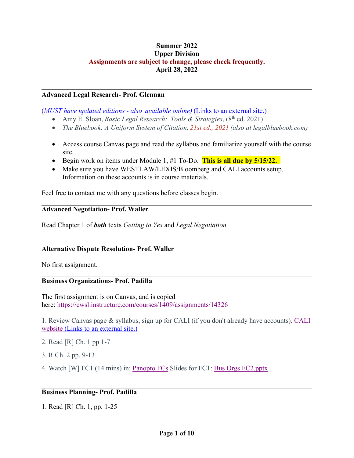### **Summer 2022 Upper Division Assignments are subject to change, please check frequently. April 28, 2022**

#### **Advanced Legal Research- Prof. Glennan**

(*[MUST have updated editions -](https://www.legalbluebook.com/) also  available online)* (Links to an external site.)

- Amy E. Sloan, *Basic Legal Research: Tools & Strategies*, (8<sup>th</sup> ed. 2021)
- *The Bluebook: A Uniform System of Citation, 21st ed., 2021 (also at legalbluebook.com)*
- Access course Canvas page and read the syllabus and familiarize yourself with the course site.
- Begin work on items under Module 1, #1 To-Do. **This is all due by 5/15/22.**
- Make sure you have WESTLAW/LEXIS/Bloomberg and CALI accounts setup. Information on these accounts is in course materials.

Feel free to contact me with any questions before classes begin.

#### **Advanced Negotiation- Prof. Waller**

Read Chapter 1 of *both* texts *Getting to Yes* and *Legal Negotiation*

#### **Alternative Dispute Resolution- Prof. Waller**

No first assignment.

#### **Business Organizations- Prof. Padilla**

The first assignment is on Canvas, and is copied here: <https://cwsl.instructure.com/courses/1409/assignments/14326>

1. Review Canvas page & syllabus, sign up for CALI (if you don't already have accounts). [CALI](https://www.cali.org/) website [\(Links to an external site.\)](https://www.cali.org/)

2. Read [R] Ch. 1 pp 1-7

- 3. R Ch. 2 pp. 9-13
- 4. Watch [W] FC1 (14 mins) in: [Panopto FCs](https://cwsl.instructure.com/courses/1409/pages/panopto-fcs) Slides for FC1: [Bus Orgs FC2.pptx](https://cwsl.instructure.com/courses/1409/files/141575?wrap=1)

#### **Business Planning- Prof. Padilla**

1. Read [R] Ch. 1, pp. 1-25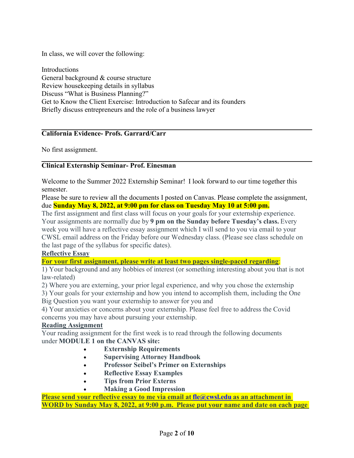In class, we will cover the following:

Introductions General background & course structure Review housekeeping details in syllabus Discuss "What is Business Planning?" Get to Know the Client Exercise: Introduction to Safecar and its founders Briefly discuss entrepreneurs and the role of a business lawyer

### **California Evidence- Profs. Garrard/Carr**

No first assignment.

# **Clinical Externship Seminar- Prof. Einesman**

Welcome to the Summer 2022 Externship Seminar!  I look forward to our time together this semester.

Please be sure to review all the documents I posted on Canvas. Please complete the assignment, due **Sunday May 8, 2022, at 9:00 pm for class on Tuesday May 10 at 5:00 pm.**

The first assignment and first class will focus on your goals for your externship experience. Your assignments are normally due by **9 pm on the Sunday before Tuesday's class.** Every week you will have a reflective essay assignment which I will send to you via email to your CWSL email address on the Friday before our Wednesday class. (Please see class schedule on the last page of the syllabus for specific dates).

### **Reflective Essay**

**For your first assignment, please write at least two pages single-paced regarding**:

1) Your background and any hobbies of interest (or something interesting about you that is not law-related)

2) Where you are externing, your prior legal experience, and why you chose the externship

3) Your goals for your externship and how you intend to accomplish them, including the One Big Question you want your externship to answer for you and

4) Your anxieties or concerns about your externship. Please feel free to address the Covid concerns you may have about pursuing your externship. 

### **Reading Assignment**

Your reading assignment for the first week is to read through the following documents under **MODULE 1 on the CANVAS site:**

- **Externship Requirements**
- **Supervising Attorney Handbook**
- **Professor Seibel's Primer on Externships**
- **Reflective Essay Examples**
- **Tips from Prior Externs**
- **Making a Good Impression**

**Please send your reflective essay to me via email at [fle@cwsl.edu](mailto:fle@cwsl.edu) as an attachment in WORD by Sunday May 8, 2022, at 9:00 p.m.  Please put your name and date on each page**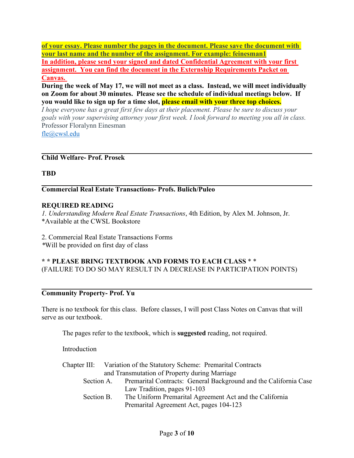**of your essay. Please number the pages in the document. Please save the document with your last name and the number of the assignment. For example: feinesman1 In addition, please send your signed and dated Confidential Agreement with your first assignment. You can find the document in the Externship Requirements Packet on Canvas.**

**During the week of May 17, we will not meet as a class. Instead, we will meet individually on Zoom for about 30 minutes. Please see the schedule of individual meetings below. If you would like to sign up for a time slot, please email with your three top choices.**

*I hope everyone has a great first few days at their placement. Please be sure to discuss your goals with your supervising attorney your first week. I look forward to meeting you all in class.* Professor Floralynn Einesman

[fle@cwsl.edu](mailto:fle@cwsl.edu)

### **Child Welfare- Prof. Prosek**

### **TBD**

**Commercial Real Estate Transactions- Profs. Bulich/Puleo**

#### **REQUIRED READING**

*1. Understanding Modern Real Estate Transactions*, 4th Edition, by Alex M. Johnson, Jr. \*Available at the CWSL Bookstore

2. Commercial Real Estate Transactions Forms *\**Will be provided on first day of class

#### **\* \* PLEASE BRING TEXTBOOK AND FORMS TO EACH CLASS** \* \* (FAILURE TO DO SO MAY RESULT IN A DECREASE IN PARTICIPATION POINTS)

#### **Community Property- Prof. Yu**

There is no textbook for this class. Before classes, I will post Class Notes on Canvas that will serve as our textbook.

The pages refer to the textbook, which is **suggested** reading, not required.

Introduction

|            | Chapter III: Variation of the Statutory Scheme: Premarital Contracts        |
|------------|-----------------------------------------------------------------------------|
|            | and Transmutation of Property during Marriage                               |
|            | Section A. Premarital Contracts: General Background and the California Case |
|            | Law Tradition, pages 91-103                                                 |
| Section B. | The Uniform Premarital Agreement Act and the California                     |
|            | Premarital Agreement Act, pages 104-123                                     |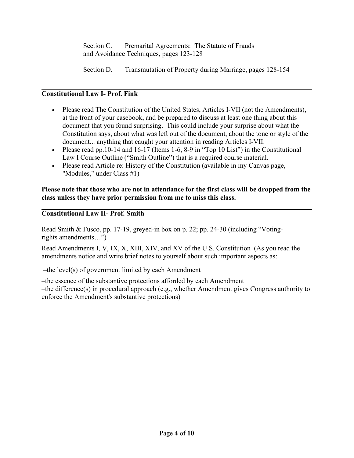Section C. Premarital Agreements: The Statute of Frauds and Avoidance Techniques, pages 123-128

Section D. Transmutation of Property during Marriage, pages 128-154

# **Constitutional Law I- Prof. Fink**

- Please read The Constitution of the United States, Articles I-VII (not the Amendments), at the front of your casebook, and be prepared to discuss at least one thing about this document that you found surprising. This could include your surprise about what the Constitution says, about what was left out of the document, about the tone or style of the document... anything that caught your attention in reading Articles I-VII.
- Please read pp.10-14 and 16-17 (Items 1-6, 8-9 in "Top 10 List") in the Constitutional Law I Course Outline ("Smith Outline") that is a required course material.
- Please read Article re: History of the Constitution (available in my Canvas page, "Modules," under Class #1)

### **Please note that those who are not in attendance for the first class will be dropped from the class unless they have prior permission from me to miss this class.**

# **Constitutional Law II- Prof. Smith**

Read Smith & Fusco, pp. 17-19, greyed-in box on p. 22; pp. 24-30 (including "Votingrights amendments…")

Read Amendments I, V, IX, X, XIII, XIV, and XV of the U.S. Constitution (As you read the amendments notice and write brief notes to yourself about such important aspects as:

–the level(s) of government limited by each Amendment

–the essence of the substantive protections afforded by each Amendment –the difference(s) in procedural approach (e.g., whether Amendment gives Congress authority to enforce the Amendment's substantive protections)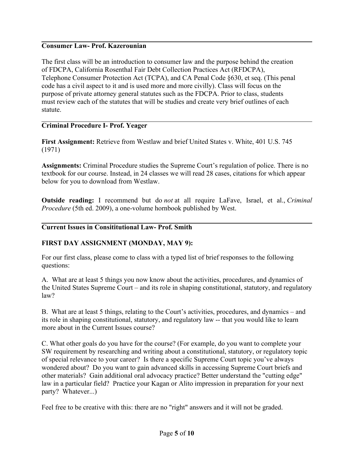### **Consumer Law- Prof. Kazerounian**

The first class will be an introduction to consumer law and the purpose behind the creation of FDCPA, California Rosenthal Fair Debt Collection Practices Act (RFDCPA), Telephone Consumer Protection Act (TCPA), and CA Penal Code §630, et seq. (This penal code has a civil aspect to it and is used more and more civilly). Class will focus on the purpose of private attorney general statutes such as the FDCPA. Prior to class, students must review each of the statutes that will be studies and create very brief outlines of each statute.

### **Criminal Procedure I- Prof. Yeager**

**First Assignment:** Retrieve from Westlaw and brief United States v. White, 401 U.S. 745 (1971)

**Assignments:** Criminal Procedure studies the Supreme Court's regulation of police. There is no textbook for our course. Instead, in 24 classes we will read 28 cases, citations for which appear below for you to download from Westlaw.

**Outside reading:** I recommend but do *not* at all require LaFave, Israel, et al., *Criminal Procedure* (5th ed. 2009), a one-volume hornbook published by West.

### **Current Issues in Consititutional Law- Prof. Smith**

### **FIRST DAY ASSIGNMENT (MONDAY, MAY 9):**

For our first class, please come to class with a typed list of brief responses to the following questions:

A. What are at least 5 things you now know about the activities, procedures, and dynamics of the United States Supreme Court – and its role in shaping constitutional, statutory, and regulatory law?

B. What are at least 5 things, relating to the Court's activities, procedures, and dynamics – and its role in shaping constitutional, statutory, and regulatory law -- that you would like to learn more about in the Current Issues course?

C. What other goals do you have for the course? (For example, do you want to complete your SW requirement by researching and writing about a constitutional, statutory, or regulatory topic of special relevance to your career? Is there a specific Supreme Court topic you've always wondered about? Do you want to gain advanced skills in accessing Supreme Court briefs and other materials? Gain additional oral advocacy practice? Better understand the "cutting edge" law in a particular field? Practice your Kagan or Alito impression in preparation for your next party? Whatever...)

Feel free to be creative with this: there are no "right" answers and it will not be graded.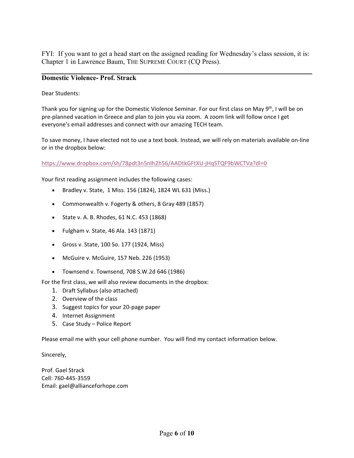FYI: If you want to get a head start on the assigned reading for Wednesday's class session, it is: Chapter 1 in Lawrence Baum, THE SUPREME COURT (CQ Press).

### **Domestic Violence- Prof. Strack**

Dear Students:

Thank you for signing up for the Domestic Violence Seminar. For our first class on May 9<sup>th</sup>, I will be on pre-planned vacation in Greece and plan to join you via zoom. A zoom link will follow once I get everyone's email addresses and connect with our amazing TECH team.

To save money, I have elected not to use a text book. Instead, we will rely on materials available on-line or in the dropbox below:

<https://www.dropbox.com/sh/78pdt3n5nlh2h56/AADtkGFtXU-jHqSTQF9bWCTVa?dl=0>

Your first reading assignment includes the following cases:

- Bradley v. State, 1 Miss. 156 (1824), 1824 WL 631 (Miss.)
- Commonwealth v. Fogerty & others, 8 Gray 489 (1857)
- State v. A. B. Rhodes, 61 N.C. 453 (1868)
- Fulgham v. State, 46 Ala. 143 (1871)
- Gross v. State, 100 So. 177 (1924, Miss)
- McGuire v. McGuire, 157 Neb. 226 (1953)
- Townsend v. Townsend, 708 S.W.2d 646 (1986)

For the first class, we will also review documents in the dropbox:

- 1. Draft Syllabus (also attached)
- 2. Overview of the class
- 3. Suggest topics for your 20-page paper
- 4. Internet Assignment
- 5. Case Study Police Report

Please email me with your cell phone number. You will find my contact information below.

Sincerely,

Prof. Gael Strack Cell: 760-445-3559 Email: gael@allianceforhope.com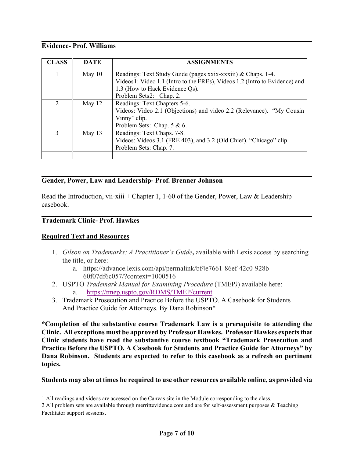# **Evidence- Prof. Williams**

| <b>CLASS</b> | <b>DATE</b> | <b>ASSIGNMENTS</b>                                                         |
|--------------|-------------|----------------------------------------------------------------------------|
|              | May $10$    | Readings: Text Study Guide (pages xxix-xxxiii) & Chaps. 1-4.               |
|              |             | Videos1: Video 1.1 (Intro to the FREs), Videos 1.2 (Intro to Evidence) and |
|              |             | 1.3 (How to Hack Evidence Qs).                                             |
|              |             | Problem Sets2: Chap. 2.                                                    |
| 2            | May $12$    | Readings: Text Chapters 5-6.                                               |
|              |             | Videos: Video 2.1 (Objections) and video 2.2 (Relevance). "My Cousin       |
|              |             | Vinny" clip.                                                               |
|              |             | Problem Sets: Chap. 5 & 6.                                                 |
| 3            | May 13      | Readings: Text Chaps. 7-8.                                                 |
|              |             | Videos: Videos 3.1 (FRE 403), and 3.2 (Old Chief). "Chicago" clip.         |
|              |             | Problem Sets: Chap. 7.                                                     |
|              |             |                                                                            |

### **Gender, Power, Law and Leadership- Prof. Brenner Johnson**

Read the Introduction, vii-xiii + Chapter 1, 1-60 of the Gender, Power, Law & Leadership casebook.

### **Trademark Clinic- Prof. Hawkes**

#### **Required Text and Resources**

- 1. *Gilson on Trademarks: A Practitioner's Guide***,** available with Lexis access by searching the title, or here:
	- a. https://advance.lexis.com/api/permalink/bf4e7661-86ef-42c0-928b-60f07df6c057/?context=1000516
- 2. USPTO *Trademark Manual for Examining Procedure* (TMEP*)*) available here: a. <https://tmep.uspto.gov/RDMS/TMEP/current>
- 3. Trademark Prosecution and Practice Before the USPTO. A Casebook for Students And Practice Guide for Attorneys. By Dana Robinson\*

**\*Completion of the substantive course Trademark Law is a prerequisite to attending the Clinic. All exceptions must be approved by Professor Hawkes. Professor Hawkes expects that Clinic students have read the substantive course textbook "Trademark Prosecution and Practice Before the USPTO. A Casebook for Students and Practice Guide for Attorneys" by Dana Robinson. Students are expected to refer to this casebook as a refresh on pertinent topics.**

#### **Students may also at times be required to use other resources available online, as provided via**

<span id="page-6-0"></span><sup>1</sup> All readings and videos are accessed on the Canvas site in the Module corresponding to the class.

<span id="page-6-1"></span><sup>2</sup> All problem sets are available through merrittevidence.com and are for self-assessment purposes & Teaching Facilitator support sessions.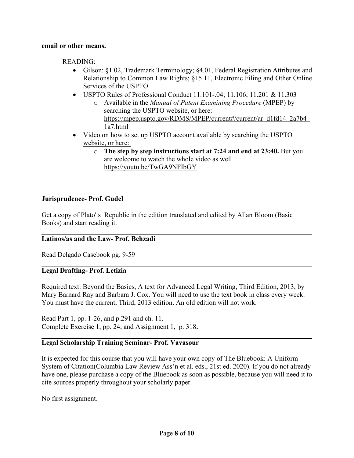#### **email or other means.**

READING:

- Gilson: §1.02, Trademark Terminology; §4.01, Federal Registration Attributes and Relationship to Common Law Rights; §15.11, Electronic Filing and Other Online Services of the USPTO
- USPTO Rules of Professional Conduct 11.101-.04; 11.106; 11.201 & 11.303
	- o Available in the *Manual of Patent Examining Procedure* (MPEP) by searching the USPTO website, or here: https://mpep.uspto.gov/RDMS/MPEP/current#/current/ar\_d1fd14\_2a7b4 [1a7.html](https://mpep.uspto.gov/RDMS/MPEP/current#/current/ar_d1fd14_2a7b4_1a7.html)
- Video on how to set up USPTO account available by searching the USPTO website, or here:
	- o **The step by step instructions start at 7:24 and end at 23:40.** But you are welcome to watch the whole video as well <https://youtu.be/TwGA9NFIbGY>

### **Jurisprudence- Prof. Gudel**

Get a copy of Plato' s Republic in the edition translated and edited by Allan Bloom (Basic Books) and start reading it.

#### **Latinos/as and the Law- Prof. Behzadi**

Read Delgado Casebook pg. 9-59

### **Legal Drafting- Prof. Letizia**

Required text: Beyond the Basics, A text for Advanced Legal Writing, Third Edition, 2013, by Mary Barnard Ray and Barbara J. Cox. You will need to use the text book in class every week. You must have the current, Third, 2013 edition. An old edition will not work.

Read Part 1, pp. 1-26, and p.291 and ch. 11. Complete Exercise 1, pp. 24, and Assignment 1, p. 318**.**

#### **Legal Scholarship Training Seminar- Prof. Vavasour**

It is expected for this course that you will have your own copy of The Bluebook: A Uniform System of Citation(Columbia Law Review Ass'n et al. eds., 21st ed. 2020). If you do not already have one, please purchase a copy of the Bluebook as soon as possible, because you will need it to cite sources properly throughout your scholarly paper.

No first assignment.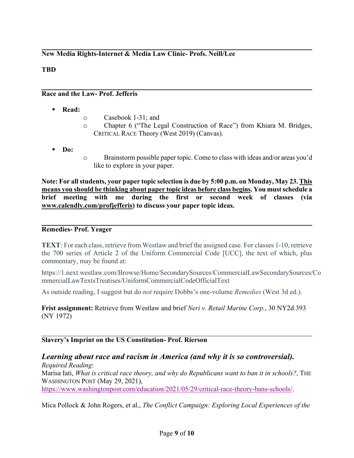# **New Media Rights-Internet & Media Law Clinic- Profs. Neill/Lee**

# **TBD**

### **Race and the Law- Prof. Jefferis**

- **Read:**
- o Casebook 1-31; and
- o Chapter 6 ("The Legal Construction of Race") from Khiara M. Bridges, CRITICAL RACE Theory (West 2019) (Canvas).
- **Do:**
- o Brainstorm possible paper topic. Come to class with ideas and/or areas you'd like to explore in your paper.

**Note: For all students, your paper topic selection is due by 5:00 p.m. on Monday, May 23. This means you should be thinking about paper topic ideas before class begins. You mustschedule a brief meeting with me during the first or second week of classes (via [www.calendly.com/profjefferis\)](http://www.calendly.com/profjefferis) to discuss your paper topic ideas.**

#### **Remedies- Prof. Yeager**

**TEXT**: For each class, retrieve from Westlaw and brief the assigned case. For classes 1-10, retrieve the 700 series of Article 2 of the Uniform Commercial Code [UCC], the text of which, plus commentary, may be found at:

https://1.next.westlaw.com/Browse/Home/SecondarySources/CommercialLawSecondarySources/Co mmercialLawTextsTreatises/UniformCommercialCodeOfficialText

As outside reading, I suggest but do *not* require Dobbs's one-volume *Remedies* (West 3d ed.).

**Frist assignment:** Retrieve from Westlaw and brief *Neri v. Retail Marine Corp.*, 30 NY2d 393 (NY 1972)

#### **Slavery's Imprint on the US Constitution- Prof. Rierson**

### *Learning about race and racism in America (and why it is so controversial). Required Reading*:

Marisa Iati, *What is critical race theory, and why do Republicans want to ban it in schools?*, THE WASHINGTON POST (May 29, 2021), [https://www.washingtonpost.com/education/2021/05/29/critical](https://www.washingtonpost.com/education/2021/05/29/critical-race-theory-bans-schools/)-race-theory-bans-schools/.

Mica Pollock & John Rogers, et al., *The Conflict Campaign: Exploring Local Experiences of the*